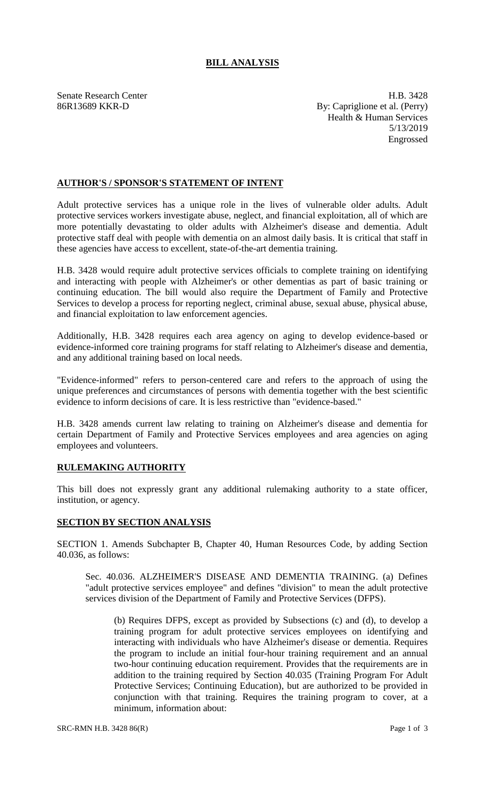## **BILL ANALYSIS**

Senate Research Center **H.B.** 3428 86R13689 KKR-D By: Capriglione et al. (Perry) Health & Human Services 5/13/2019 Engrossed

## **AUTHOR'S / SPONSOR'S STATEMENT OF INTENT**

Adult protective services has a unique role in the lives of vulnerable older adults. Adult protective services workers investigate abuse, neglect, and financial exploitation, all of which are more potentially devastating to older adults with Alzheimer's disease and dementia. Adult protective staff deal with people with dementia on an almost daily basis. It is critical that staff in these agencies have access to excellent, state-of-the-art dementia training.

H.B. 3428 would require adult protective services officials to complete training on identifying and interacting with people with Alzheimer's or other dementias as part of basic training or continuing education. The bill would also require the Department of Family and Protective Services to develop a process for reporting neglect, criminal abuse, sexual abuse, physical abuse, and financial exploitation to law enforcement agencies.

Additionally, H.B. 3428 requires each area agency on aging to develop evidence-based or evidence-informed core training programs for staff relating to Alzheimer's disease and dementia, and any additional training based on local needs.

"Evidence-informed" refers to person-centered care and refers to the approach of using the unique preferences and circumstances of persons with dementia together with the best scientific evidence to inform decisions of care. It is less restrictive than "evidence-based."

H.B. 3428 amends current law relating to training on Alzheimer's disease and dementia for certain Department of Family and Protective Services employees and area agencies on aging employees and volunteers.

## **RULEMAKING AUTHORITY**

This bill does not expressly grant any additional rulemaking authority to a state officer, institution, or agency.

## **SECTION BY SECTION ANALYSIS**

SECTION 1. Amends Subchapter B, Chapter 40, Human Resources Code, by adding Section 40.036, as follows:

Sec. 40.036. ALZHEIMER'S DISEASE AND DEMENTIA TRAINING. (a) Defines "adult protective services employee" and defines "division" to mean the adult protective services division of the Department of Family and Protective Services (DFPS).

(b) Requires DFPS, except as provided by Subsections (c) and (d), to develop a training program for adult protective services employees on identifying and interacting with individuals who have Alzheimer's disease or dementia. Requires the program to include an initial four-hour training requirement and an annual two-hour continuing education requirement. Provides that the requirements are in addition to the training required by Section 40.035 (Training Program For Adult Protective Services; Continuing Education), but are authorized to be provided in conjunction with that training. Requires the training program to cover, at a minimum, information about: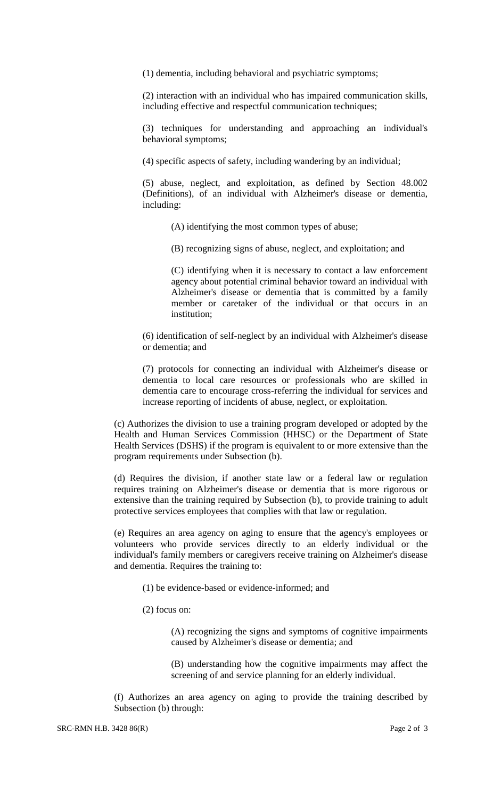(1) dementia, including behavioral and psychiatric symptoms;

(2) interaction with an individual who has impaired communication skills, including effective and respectful communication techniques;

(3) techniques for understanding and approaching an individual's behavioral symptoms;

(4) specific aspects of safety, including wandering by an individual;

(5) abuse, neglect, and exploitation, as defined by Section 48.002 (Definitions), of an individual with Alzheimer's disease or dementia, including:

(A) identifying the most common types of abuse;

(B) recognizing signs of abuse, neglect, and exploitation; and

(C) identifying when it is necessary to contact a law enforcement agency about potential criminal behavior toward an individual with Alzheimer's disease or dementia that is committed by a family member or caretaker of the individual or that occurs in an institution;

(6) identification of self-neglect by an individual with Alzheimer's disease or dementia; and

(7) protocols for connecting an individual with Alzheimer's disease or dementia to local care resources or professionals who are skilled in dementia care to encourage cross-referring the individual for services and increase reporting of incidents of abuse, neglect, or exploitation.

(c) Authorizes the division to use a training program developed or adopted by the Health and Human Services Commission (HHSC) or the Department of State Health Services (DSHS) if the program is equivalent to or more extensive than the program requirements under Subsection (b).

(d) Requires the division, if another state law or a federal law or regulation requires training on Alzheimer's disease or dementia that is more rigorous or extensive than the training required by Subsection (b), to provide training to adult protective services employees that complies with that law or regulation.

(e) Requires an area agency on aging to ensure that the agency's employees or volunteers who provide services directly to an elderly individual or the individual's family members or caregivers receive training on Alzheimer's disease and dementia. Requires the training to:

- (1) be evidence-based or evidence-informed; and
- (2) focus on:

(A) recognizing the signs and symptoms of cognitive impairments caused by Alzheimer's disease or dementia; and

(B) understanding how the cognitive impairments may affect the screening of and service planning for an elderly individual.

(f) Authorizes an area agency on aging to provide the training described by Subsection (b) through: